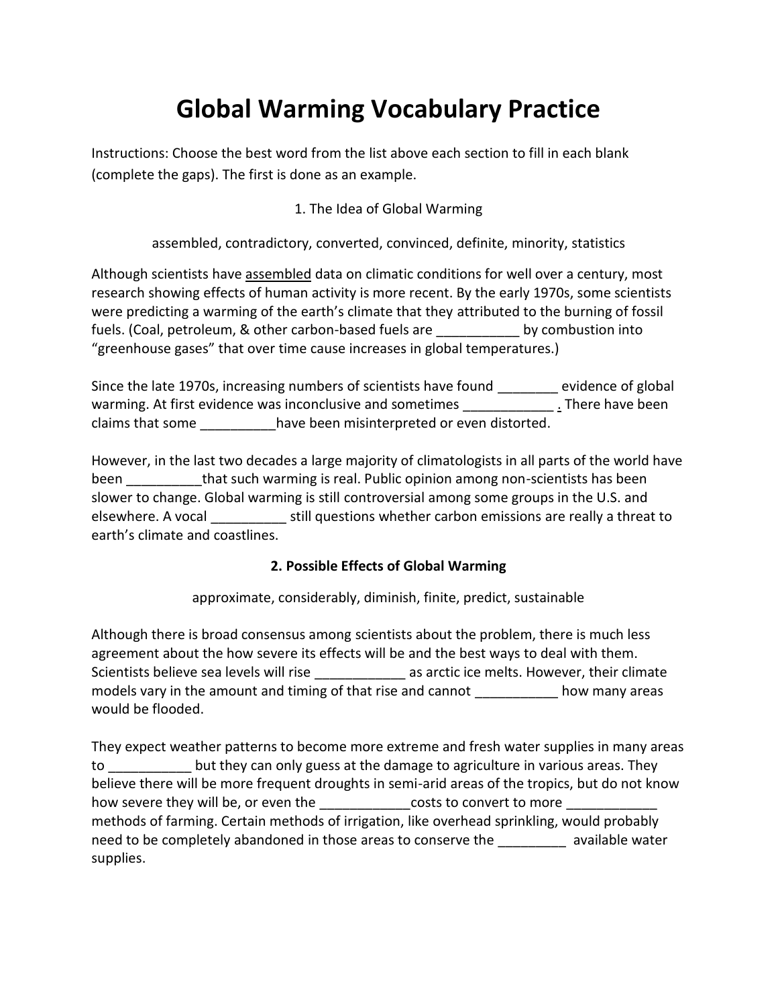# **Global Warming Vocabulary Practice**

Instructions: Choose the best word from the list above each section to fill in each blank (complete the gaps). The first is done as an example.

## 1. The Idea of Global Warming

assembled, contradictory, converted, convinced, definite, minority, statistics

Although scientists have assembled data on climatic conditions for well over a century, most research showing effects of human activity is more recent. By the early 1970s, some scientists were predicting a warming of the earth's climate that they attributed to the burning of fossil fuels. (Coal, petroleum, & other carbon-based fuels are by combustion into "greenhouse gases" that over time cause increases in global temperatures.)

Since the late 1970s, increasing numbers of scientists have found \_\_\_\_\_\_\_\_ evidence of global warming. At first evidence was inconclusive and sometimes There have been claims that some \_\_\_\_\_\_\_\_\_\_have been misinterpreted or even distorted.

However, in the last two decades a large majority of climatologists in all parts of the world have been **that such warming is real. Public opinion among non-scientists has been** slower to change. Global warming is still controversial among some groups in the U.S. and elsewhere. A vocal \_\_\_\_\_\_\_\_\_\_ still questions whether carbon emissions are really a threat to earth's climate and coastlines.

### **2. Possible Effects of Global Warming**

approximate, considerably, diminish, finite, predict, sustainable

Although there is broad consensus among scientists about the problem, there is much less agreement about the how severe its effects will be and the best ways to deal with them. Scientists believe sea levels will rise entitled as arctic ice melts. However, their climate models vary in the amount and timing of that rise and cannot \_\_\_\_\_\_\_\_\_\_\_\_\_ how many areas would be flooded.

They expect weather patterns to become more extreme and fresh water supplies in many areas to but they can only guess at the damage to agriculture in various areas. They believe there will be more frequent droughts in semi-arid areas of the tropics, but do not know how severe they will be, or even the \_\_\_\_\_\_\_\_\_\_\_\_\_\_costs to convert to more \_\_\_\_\_\_\_\_\_ methods of farming. Certain methods of irrigation, like overhead sprinkling, would probably need to be completely abandoned in those areas to conserve the example available water supplies.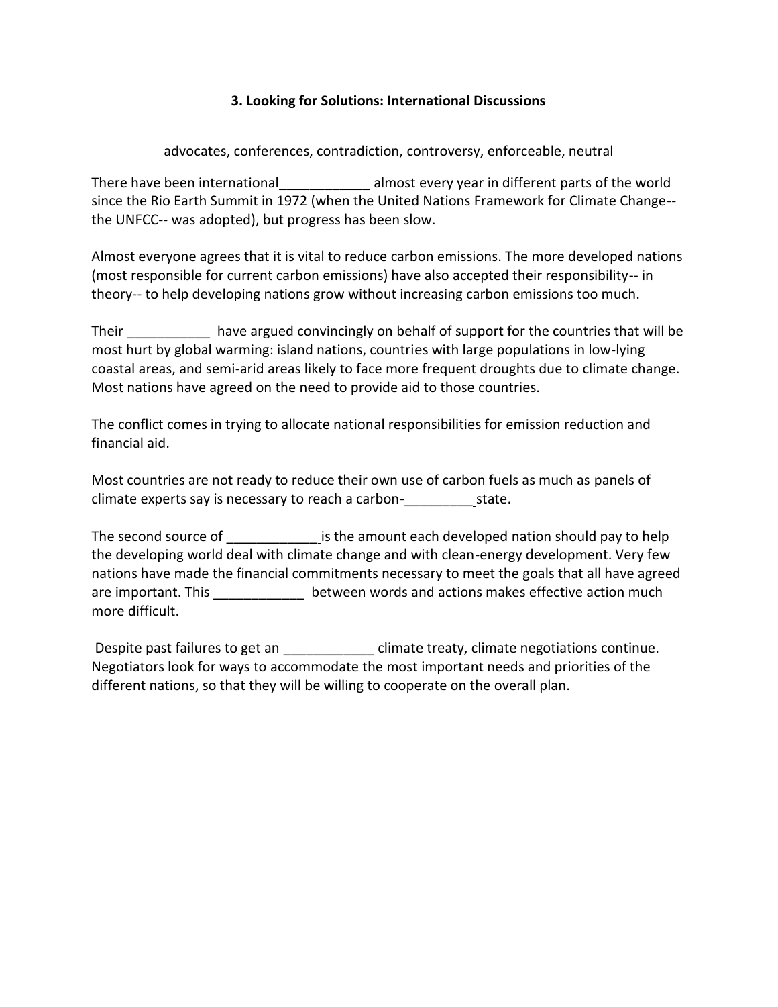#### **3. Looking for Solutions: International Discussions**

advocates, conferences, contradiction, controversy, enforceable, neutral

There have been international almost every year in different parts of the world since the Rio Earth Summit in 1972 (when the United Nations Framework for Climate Change- the UNFCC-- was adopted), but progress has been slow.

Almost everyone agrees that it is vital to reduce carbon emissions. The more developed nations (most responsible for current carbon emissions) have also accepted their responsibility-- in theory-- to help developing nations grow without increasing carbon emissions too much.

Their **the contract and solution** have argued convincingly on behalf of support for the countries that will be most hurt by global warming: island nations, countries with large populations in low-lying coastal areas, and semi-arid areas likely to face more frequent droughts due to climate change. Most nations have agreed on the need to provide aid to those countries.

The conflict comes in trying to allocate national responsibilities for emission reduction and financial aid.

Most countries are not ready to reduce their own use of carbon fuels as much as panels of climate experts say is necessary to reach a carbon-\_\_\_\_\_\_\_\_\_ state.

The second source of \_\_\_\_\_\_\_\_\_\_\_\_ is the amount each developed nation should pay to help the developing world deal with climate change and with clean-energy development. Very few nations have made the financial commitments necessary to meet the goals that all have agreed are important. This **Exercise 1 and Sections** between words and actions makes effective action much more difficult.

Despite past failures to get an  $\Box$  climate treaty, climate negotiations continue. Negotiators look for ways to accommodate the most important needs and priorities of the different nations, so that they will be willing to cooperate on the overall plan.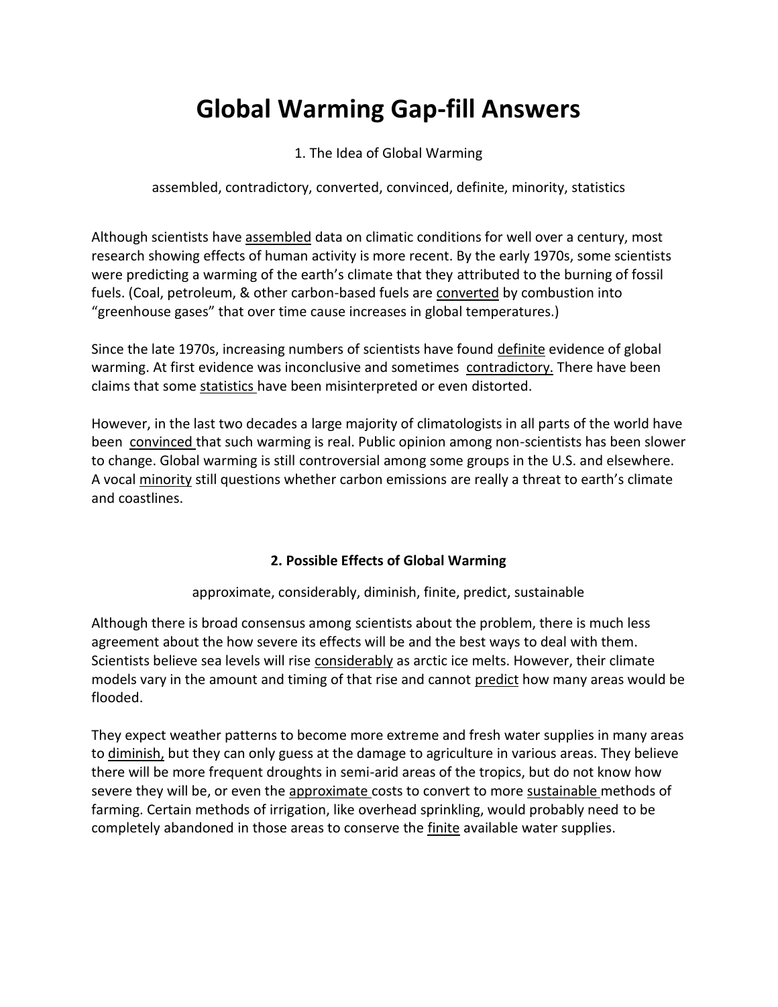# **Global Warming Gap-fill Answers**

1. The Idea of Global Warming

assembled, contradictory, converted, convinced, definite, minority, statistics

Although scientists have assembled data on climatic conditions for well over a century, most research showing effects of human activity is more recent. By the early 1970s, some scientists were predicting a warming of the earth's climate that they attributed to the burning of fossil fuels. (Coal, petroleum, & other carbon-based fuels are converted by combustion into "greenhouse gases" that over time cause increases in global temperatures.)

Since the late 1970s, increasing numbers of scientists have found definite evidence of global warming. At first evidence was inconclusive and sometimes contradictory. There have been claims that some statistics have been misinterpreted or even distorted.

However, in the last two decades a large majority of climatologists in all parts of the world have been convinced that such warming is real. Public opinion among non-scientists has been slower to change. Global warming is still controversial among some groups in the U.S. and elsewhere. A vocal minority still questions whether carbon emissions are really a threat to earth's climate and coastlines.

### **2. Possible Effects of Global Warming**

approximate, considerably, diminish, finite, predict, sustainable

Although there is broad consensus among scientists about the problem, there is much less agreement about the how severe its effects will be and the best ways to deal with them. Scientists believe sea levels will rise considerably as arctic ice melts. However, their climate models vary in the amount and timing of that rise and cannot predict how many areas would be flooded.

They expect weather patterns to become more extreme and fresh water supplies in many areas to diminish, but they can only guess at the damage to agriculture in various areas. They believe there will be more frequent droughts in semi-arid areas of the tropics, but do not know how severe they will be, or even the approximate costs to convert to more sustainable methods of farming. Certain methods of irrigation, like overhead sprinkling, would probably need to be completely abandoned in those areas to conserve the finite available water supplies.